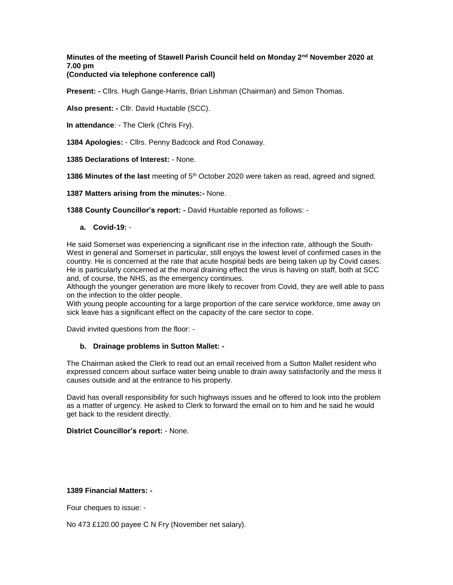# **Minutes of the meeting of Stawell Parish Council held on Monday 2nd November 2020 at 7.00 pm**

# **(Conducted via telephone conference call)**

**Present: -** Cllrs. Hugh Gange-Harris, Brian Lishman (Chairman) and Simon Thomas.

**Also present: -** Cllr. David Huxtable (SCC).

**In attendance**: - The Clerk (Chris Fry).

**1384 Apologies:** - Cllrs. Penny Badcock and Rod Conaway.

**1385 Declarations of Interest:** - None.

**1386 Minutes of the last** meeting of 5th October 2020 were taken as read, agreed and signed.

**1387 Matters arising from the minutes:-** None.

**1388 County Councillor's report: -** David Huxtable reported as follows: -

## **a. Covid-19:** -

He said Somerset was experiencing a significant rise in the infection rate, although the South-West in general and Somerset in particular, still enjoys the lowest level of confirmed cases in the country. He is concerned at the rate that acute hospital beds are being taken up by Covid cases. He is particularly concerned at the moral draining effect the virus is having on staff, both at SCC and, of course, the NHS, as the emergency continues.

Although the younger generation are more likely to recover from Covid, they are well able to pass on the infection to the older people.

With young people accounting for a large proportion of the care service workforce, time away on sick leave has a significant effect on the capacity of the care sector to cope.

David invited questions from the floor: -

## **b. Drainage problems in Sutton Mallet: -**

The Chairman asked the Clerk to read out an email received from a Sutton Mallet resident who expressed concern about surface water being unable to drain away satisfactorily and the mess it causes outside and at the entrance to his property.

David has overall responsibility for such highways issues and he offered to look into the problem as a matter of urgency. He asked to Clerk to forward the email on to him and he said he would get back to the resident directly.

## **District Councillor's report:** - None.

# **1389 Financial Matters: -**

Four cheques to issue: -

No 473 £120.00 payee C N Fry (November net salary).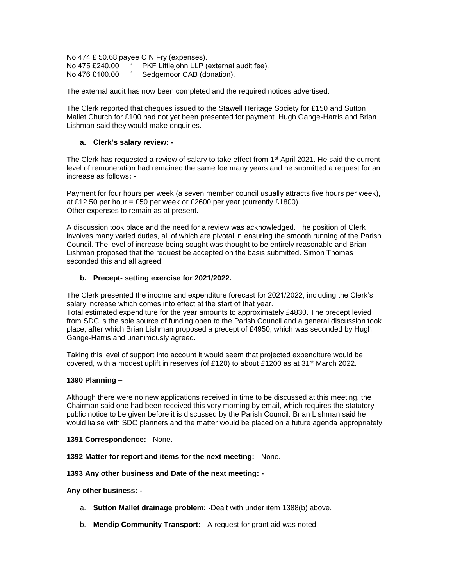No 474 £ 50.68 payee C N Fry (expenses). No 475 £240.00 <sup>"</sup> PKF Littlejohn LLP (external audit fee).<br>No 476 £100.00 " Sedgemoor CAB (donation). Sedgemoor CAB (donation).

The external audit has now been completed and the required notices advertised.

The Clerk reported that cheques issued to the Stawell Heritage Society for £150 and Sutton Mallet Church for £100 had not yet been presented for payment. Hugh Gange-Harris and Brian Lishman said they would make enquiries.

# **a. Clerk's salary review: -**

The Clerk has requested a review of salary to take effect from 1<sup>st</sup> April 2021. He said the current level of remuneration had remained the same foe many years and he submitted a request for an increase as follows**: -**

Payment for four hours per week (a seven member council usually attracts five hours per week), at £12.50 per hour = £50 per week or £2600 per year (currently £1800). Other expenses to remain as at present.

A discussion took place and the need for a review was acknowledged. The position of Clerk involves many varied duties, all of which are pivotal in ensuring the smooth running of the Parish Council. The level of increase being sought was thought to be entirely reasonable and Brian Lishman proposed that the request be accepted on the basis submitted. Simon Thomas seconded this and all agreed.

# **b. Precept- setting exercise for 2021/2022.**

The Clerk presented the income and expenditure forecast for 2021/2022, including the Clerk's salary increase which comes into effect at the start of that year.

Total estimated expenditure for the year amounts to approximately £4830. The precept levied from SDC is the sole source of funding open to the Parish Council and a general discussion took place, after which Brian Lishman proposed a precept of £4950, which was seconded by Hugh Gange-Harris and unanimously agreed.

Taking this level of support into account it would seem that projected expenditure would be covered, with a modest uplift in reserves (of £120) to about £1200 as at  $31<sup>st</sup>$  March 2022.

## **1390 Planning –**

Although there were no new applications received in time to be discussed at this meeting, the Chairman said one had been received this very morning by email, which requires the statutory public notice to be given before it is discussed by the Parish Council. Brian Lishman said he would liaise with SDC planners and the matter would be placed on a future agenda appropriately.

## **1391 Correspondence:** - None.

**1392 Matter for report and items for the next meeting:** - None.

**1393 Any other business and Date of the next meeting: -**

**Any other business: -**

- a. **Sutton Mallet drainage problem: -**Dealt with under item 1388(b) above.
- b. **Mendip Community Transport:**  A request for grant aid was noted.